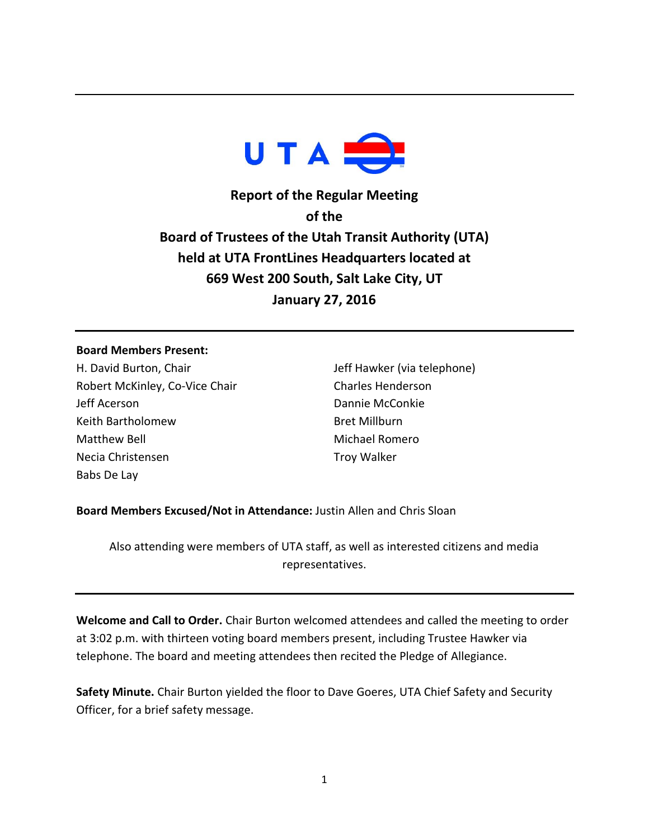

**Report of the Regular Meeting of the Board of Trustees of the Utah Transit Authority (UTA) held at UTA FrontLines Headquarters located at 669 West 200 South, Salt Lake City, UT January 27, 2016**

## **Board Members Present:**

H. David Burton, Chair Robert McKinley, Co-Vice Chair Jeff Acerson Keith Bartholomew Matthew Bell Necia Christensen Babs De Lay

Jeff Hawker (via telephone) Charles Henderson Dannie McConkie Bret Millburn Michael Romero Troy Walker

**Board Members Excused/Not in Attendance:** Justin Allen and Chris Sloan

Also attending were members of UTA staff, as well as interested citizens and media representatives.

**Welcome and Call to Order.** Chair Burton welcomed attendees and called the meeting to order at 3:02 p.m. with thirteen voting board members present, including Trustee Hawker via telephone. The board and meeting attendees then recited the Pledge of Allegiance.

**Safety Minute.** Chair Burton yielded the floor to Dave Goeres, UTA Chief Safety and Security Officer, for a brief safety message.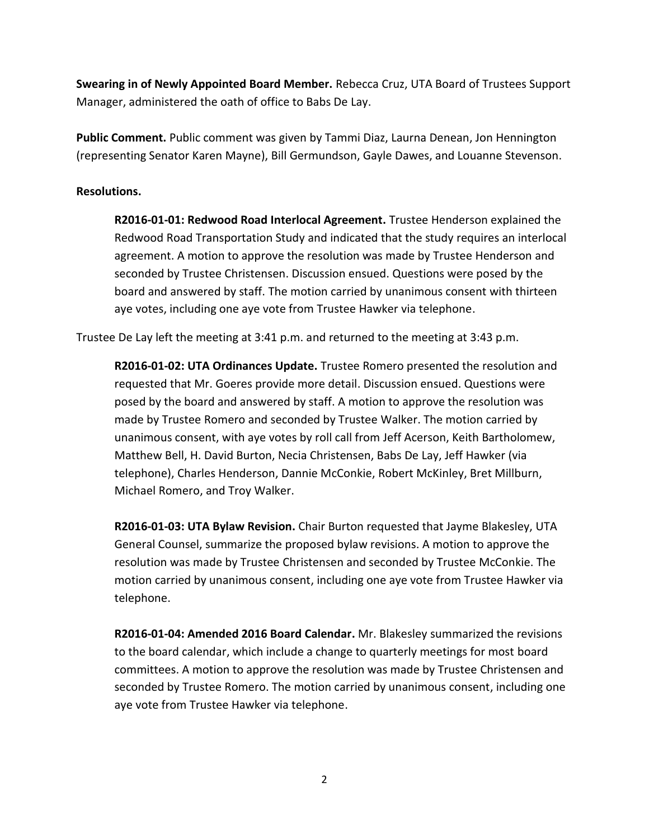**Swearing in of Newly Appointed Board Member.** Rebecca Cruz, UTA Board of Trustees Support Manager, administered the oath of office to Babs De Lay.

**Public Comment.** Public comment was given by Tammi Diaz, Laurna Denean, Jon Hennington (representing Senator Karen Mayne), Bill Germundson, Gayle Dawes, and Louanne Stevenson.

## **Resolutions.**

**R2016-01-01: Redwood Road Interlocal Agreement.** Trustee Henderson explained the Redwood Road Transportation Study and indicated that the study requires an interlocal agreement. A motion to approve the resolution was made by Trustee Henderson and seconded by Trustee Christensen. Discussion ensued. Questions were posed by the board and answered by staff. The motion carried by unanimous consent with thirteen aye votes, including one aye vote from Trustee Hawker via telephone.

Trustee De Lay left the meeting at 3:41 p.m. and returned to the meeting at 3:43 p.m.

**R2016-01-02: UTA Ordinances Update.** Trustee Romero presented the resolution and requested that Mr. Goeres provide more detail. Discussion ensued. Questions were posed by the board and answered by staff. A motion to approve the resolution was made by Trustee Romero and seconded by Trustee Walker. The motion carried by unanimous consent, with aye votes by roll call from Jeff Acerson, Keith Bartholomew, Matthew Bell, H. David Burton, Necia Christensen, Babs De Lay, Jeff Hawker (via telephone), Charles Henderson, Dannie McConkie, Robert McKinley, Bret Millburn, Michael Romero, and Troy Walker.

**R2016-01-03: UTA Bylaw Revision.** Chair Burton requested that Jayme Blakesley, UTA General Counsel, summarize the proposed bylaw revisions. A motion to approve the resolution was made by Trustee Christensen and seconded by Trustee McConkie. The motion carried by unanimous consent, including one aye vote from Trustee Hawker via telephone.

**R2016-01-04: Amended 2016 Board Calendar.** Mr. Blakesley summarized the revisions to the board calendar, which include a change to quarterly meetings for most board committees. A motion to approve the resolution was made by Trustee Christensen and seconded by Trustee Romero. The motion carried by unanimous consent, including one aye vote from Trustee Hawker via telephone.